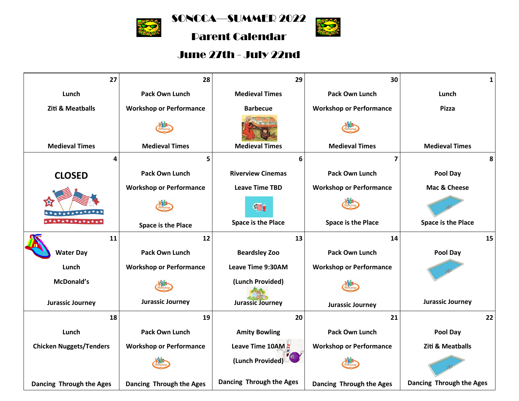

SONCCA—SUMMER 2022

**ROAD** 

Parent Calendar

## June 27th - July 22nd

| 27                             | 28                             | 29                        | 30                             | $\mathbf{1}$                |
|--------------------------------|--------------------------------|---------------------------|--------------------------------|-----------------------------|
| Lunch                          | <b>Pack Own Lunch</b>          | <b>Medieval Times</b>     | <b>Pack Own Lunch</b>          | Lunch                       |
| <b>Ziti &amp; Meatballs</b>    | <b>Workshop or Performance</b> | <b>Barbecue</b>           | <b>Workshop or Performance</b> | <b>Pizza</b>                |
|                                |                                |                           |                                |                             |
| <b>Medieval Times</b>          | <b>Medieval Times</b>          | <b>Medieval Times</b>     | <b>Medieval Times</b>          | <b>Medieval Times</b>       |
| 4                              | 5                              | 6                         | $\overline{\mathbf{z}}$        | 8                           |
| <b>CLOSED</b>                  | <b>Pack Own Lunch</b>          | <b>Riverview Cinemas</b>  | <b>Pack Own Lunch</b>          | Pool Day                    |
|                                | <b>Workshop or Performance</b> | <b>Leave Time TBD</b>     | <b>Workshop or Performance</b> | Mac & Cheese                |
|                                |                                | $\frac{1}{2}$             |                                |                             |
| ************                   | <b>Space is the Place</b>      | <b>Space is the Place</b> | <b>Space is the Place</b>      | <b>Space is the Place</b>   |
| 11                             | 12                             | 13                        | 14                             | 15                          |
| <b>Water Day</b>               | <b>Pack Own Lunch</b>          | <b>Beardsley Zoo</b>      | <b>Pack Own Lunch</b>          | Pool Day                    |
| Lunch                          | <b>Workshop or Performance</b> | Leave Time 9:30AM         | <b>Workshop or Performance</b> |                             |
| McDonald's                     |                                | (Lunch Provided)          |                                |                             |
| <b>Jurassic Journey</b>        | <b>Jurassic Journey</b>        | <b>Jurassic Journey</b>   | <b>Jurassic Journey</b>        | <b>Jurassic Journey</b>     |
| 18                             | 19                             | 20                        | 21                             | 22                          |
| Lunch                          | <b>Pack Own Lunch</b>          | <b>Amity Bowling</b>      | <b>Pack Own Lunch</b>          | Pool Day                    |
| <b>Chicken Nuggets/Tenders</b> | <b>Workshop or Performance</b> | Leave Time 10AM           | <b>Workshop or Performance</b> | <b>Ziti &amp; Meatballs</b> |
|                                |                                | (Lunch Provided)          |                                |                             |
| Dancing Through the Ages       | Dancing Through the Ages       | Dancing Through the Ages  | Dancing Through the Ages       | Dancing Through the Ages    |